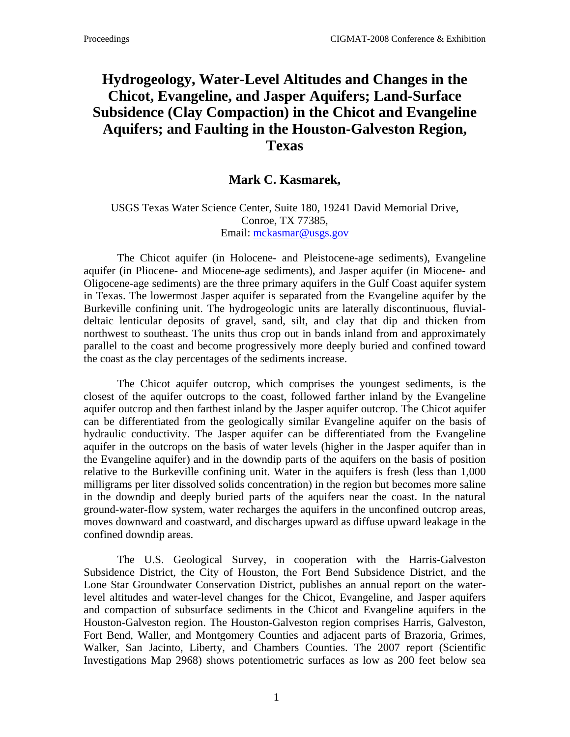## **Hydrogeology, Water-Level Altitudes and Changes in the Chicot, Evangeline, and Jasper Aquifers; Land-Surface Subsidence (Clay Compaction) in the Chicot and Evangeline Aquifers; and Faulting in the Houston-Galveston Region, Texas**

## **Mark C. Kasmarek,**

## USGS Texas Water Science Center, Suite 180, 19241 David Memorial Drive, Conroe, TX 77385, Email: [mckasmar@usgs.gov](mailto:mckasmar@usgs.gov)

The Chicot aquifer (in Holocene- and Pleistocene-age sediments), Evangeline aquifer (in Pliocene- and Miocene-age sediments), and Jasper aquifer (in Miocene- and Oligocene-age sediments) are the three primary aquifers in the Gulf Coast aquifer system in Texas. The lowermost Jasper aquifer is separated from the Evangeline aquifer by the Burkeville confining unit. The hydrogeologic units are laterally discontinuous, fluvialdeltaic lenticular deposits of gravel, sand, silt, and clay that dip and thicken from northwest to southeast. The units thus crop out in bands inland from and approximately parallel to the coast and become progressively more deeply buried and confined toward the coast as the clay percentages of the sediments increase.

The Chicot aquifer outcrop, which comprises the youngest sediments, is the closest of the aquifer outcrops to the coast, followed farther inland by the Evangeline aquifer outcrop and then farthest inland by the Jasper aquifer outcrop. The Chicot aquifer can be differentiated from the geologically similar Evangeline aquifer on the basis of hydraulic conductivity. The Jasper aquifer can be differentiated from the Evangeline aquifer in the outcrops on the basis of water levels (higher in the Jasper aquifer than in the Evangeline aquifer) and in the downdip parts of the aquifers on the basis of position relative to the Burkeville confining unit. Water in the aquifers is fresh (less than 1,000 milligrams per liter dissolved solids concentration) in the region but becomes more saline in the downdip and deeply buried parts of the aquifers near the coast. In the natural ground-water-flow system, water recharges the aquifers in the unconfined outcrop areas, moves downward and coastward, and discharges upward as diffuse upward leakage in the confined downdip areas.

 The U.S. Geological Survey, in cooperation with the Harris-Galveston Subsidence District, the City of Houston, the Fort Bend Subsidence District, and the Lone Star Groundwater Conservation District, publishes an annual report on the waterlevel altitudes and water-level changes for the Chicot, Evangeline, and Jasper aquifers and compaction of subsurface sediments in the Chicot and Evangeline aquifers in the Houston-Galveston region. The Houston-Galveston region comprises Harris, Galveston, Fort Bend, Waller, and Montgomery Counties and adjacent parts of Brazoria, Grimes, Walker, San Jacinto, Liberty, and Chambers Counties. The 2007 report (Scientific Investigations Map 2968) shows potentiometric surfaces as low as 200 feet below sea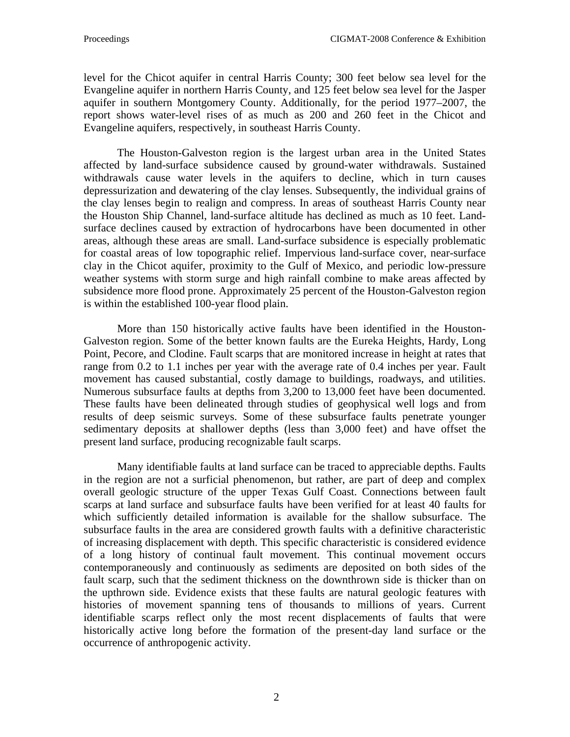level for the Chicot aquifer in central Harris County; 300 feet below sea level for the Evangeline aquifer in northern Harris County, and 125 feet below sea level for the Jasper aquifer in southern Montgomery County. Additionally, for the period 1977–2007, the report shows water-level rises of as much as 200 and 260 feet in the Chicot and Evangeline aquifers, respectively, in southeast Harris County.

 The Houston-Galveston region is the largest urban area in the United States affected by land-surface subsidence caused by ground-water withdrawals. Sustained withdrawals cause water levels in the aquifers to decline, which in turn causes depressurization and dewatering of the clay lenses. Subsequently, the individual grains of the clay lenses begin to realign and compress. In areas of southeast Harris County near the Houston Ship Channel, land-surface altitude has declined as much as 10 feet. Landsurface declines caused by extraction of hydrocarbons have been documented in other areas, although these areas are small. Land-surface subsidence is especially problematic for coastal areas of low topographic relief. Impervious land-surface cover, near-surface clay in the Chicot aquifer, proximity to the Gulf of Mexico, and periodic low-pressure weather systems with storm surge and high rainfall combine to make areas affected by subsidence more flood prone. Approximately 25 percent of the Houston-Galveston region is within the established 100-year flood plain.

 More than 150 historically active faults have been identified in the Houston-Galveston region. Some of the better known faults are the Eureka Heights, Hardy, Long Point, Pecore, and Clodine. Fault scarps that are monitored increase in height at rates that range from 0.2 to 1.1 inches per year with the average rate of 0.4 inches per year. Fault movement has caused substantial, costly damage to buildings, roadways, and utilities. Numerous subsurface faults at depths from 3,200 to 13,000 feet have been documented. These faults have been delineated through studies of geophysical well logs and from results of deep seismic surveys. Some of these subsurface faults penetrate younger sedimentary deposits at shallower depths (less than 3,000 feet) and have offset the present land surface, producing recognizable fault scarps.

Many identifiable faults at land surface can be traced to appreciable depths. Faults in the region are not a surficial phenomenon, but rather, are part of deep and complex overall geologic structure of the upper Texas Gulf Coast. Connections between fault scarps at land surface and subsurface faults have been verified for at least 40 faults for which sufficiently detailed information is available for the shallow subsurface. The subsurface faults in the area are considered growth faults with a definitive characteristic of increasing displacement with depth. This specific characteristic is considered evidence of a long history of continual fault movement. This continual movement occurs contemporaneously and continuously as sediments are deposited on both sides of the fault scarp, such that the sediment thickness on the downthrown side is thicker than on the upthrown side. Evidence exists that these faults are natural geologic features with histories of movement spanning tens of thousands to millions of years. Current identifiable scarps reflect only the most recent displacements of faults that were historically active long before the formation of the present-day land surface or the occurrence of anthropogenic activity.